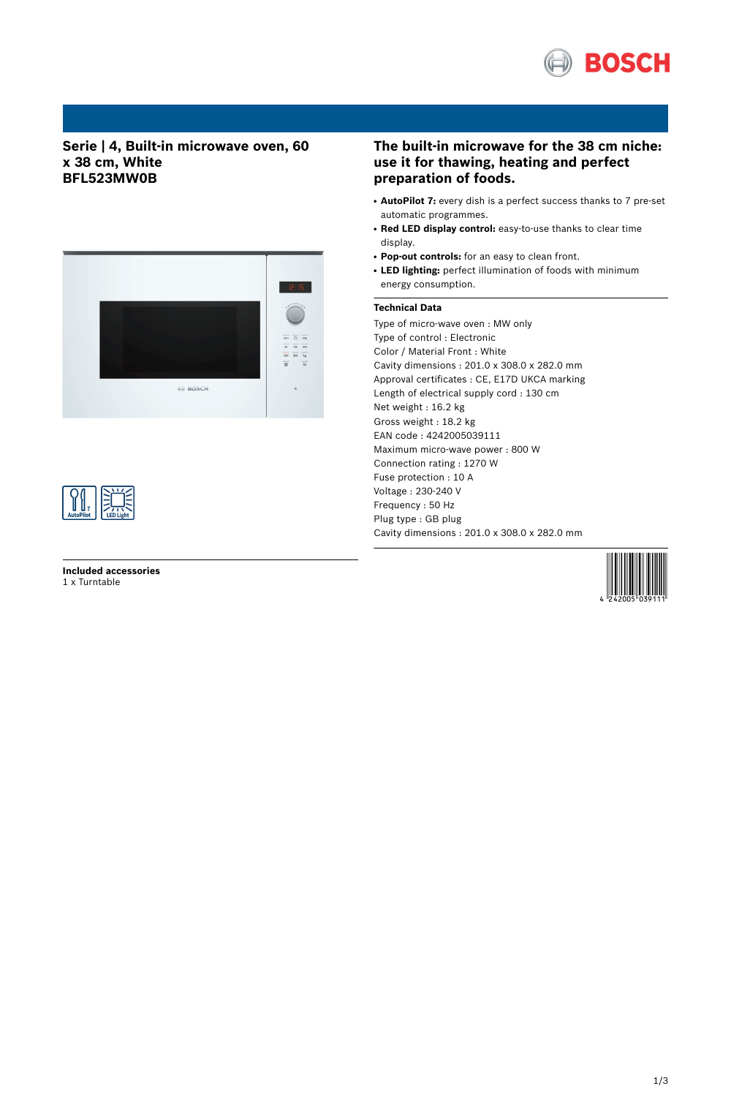

# **Serie | 4, Built-in microwave oven, 60 x 38 cm, White BFL523MW0B**





**Included accessories** 1 x Turntable

# **The built-in microwave for the 38 cm niche: use it for thawing, heating and perfect preparation of foods.**

- **AutoPilot 7:** every dish is a perfect success thanks to 7 pre-set automatic programmes.
- **Red LED display control:** easy-to-use thanks to clear time display.
- **Pop-out controls:** for an easy to clean front.
- LED lighting: perfect illumination of foods with minimum energy consumption.

## **Technical Data**

Type of micro-wave oven : MW only Type of control : Electronic Color / Material Front : White Cavity dimensions : 201.0 x 308.0 x 282.0 mm Approval certificates : CE, E17D UKCA marking Length of electrical supply cord : 130 cm Net weight : 16.2 kg Gross weight : 18.2 kg EAN code : 4242005039111 Maximum micro-wave power : 800 W Connection rating : 1270 W Fuse protection : 10 A Voltage : 230-240 V Frequency : 50 Hz Plug type : GB plug Cavity dimensions : 201.0 x 308.0 x 282.0 mm

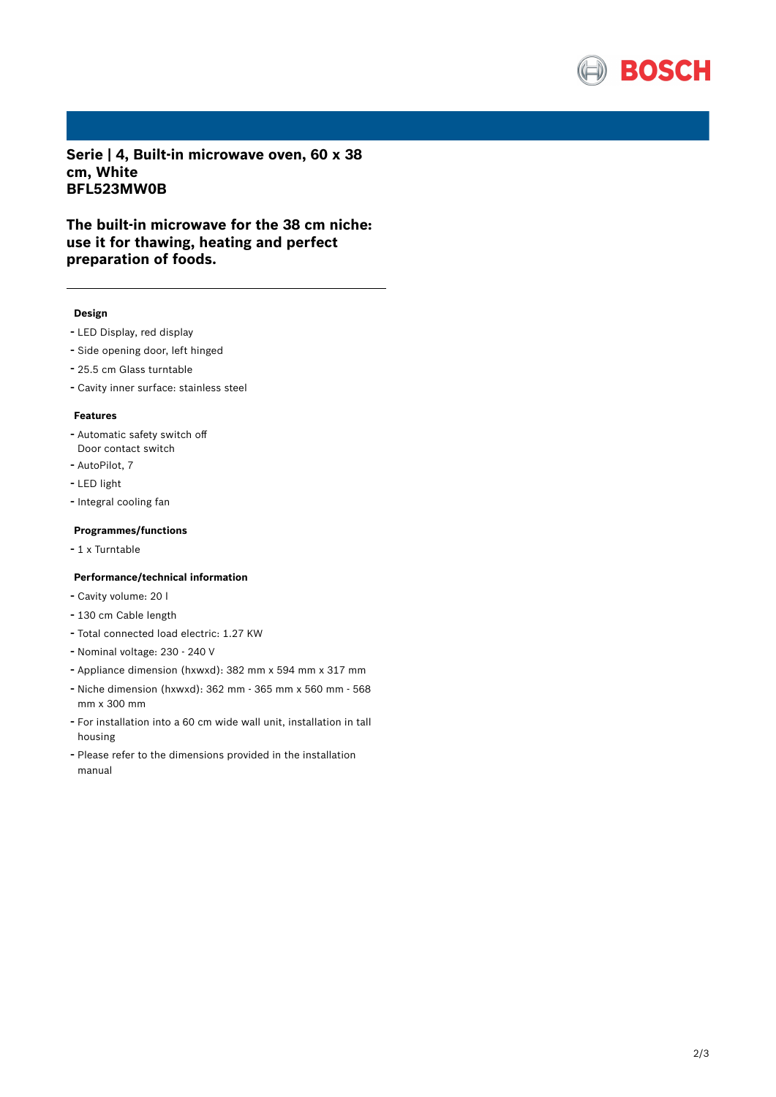

**Serie | 4, Built-in microwave oven, 60 x 38 cm, White BFL523MW0B**

**The built-in microwave for the 38 cm niche: use it for thawing, heating and perfect preparation of foods.**

#### **Design**

- LED Display, red display
- Side opening door, left hinged
- 25.5 cm Glass turntable
- Cavity inner surface: stainless steel

#### **Features**

- Automatic safety switch off Door contact switch
- AutoPilot, <sup>7</sup>
- LED light
- Integral cooling fan

### **Programmes/functions**

- <sup>1</sup> <sup>x</sup> Turntable

### **Performance/technical information**

- Cavity volume: <sup>20</sup> <sup>l</sup>
- <sup>130</sup> cm Cable length
- Total connected load electric: 1.27 KW
- Nominal voltage: <sup>230</sup> <sup>240</sup> <sup>V</sup>
- Appliance dimension (hxwxd): 382 mm x 594 mm x 317 mm
- Niche dimension (hxwxd): <sup>362</sup> mm <sup>365</sup> mm <sup>x</sup> <sup>560</sup> mm <sup>568</sup> mm x 300 mm
- For installation into <sup>a</sup> <sup>60</sup> cm wide wall unit, installation in tall housing
- Please refer to the dimensions provided in the installation manual